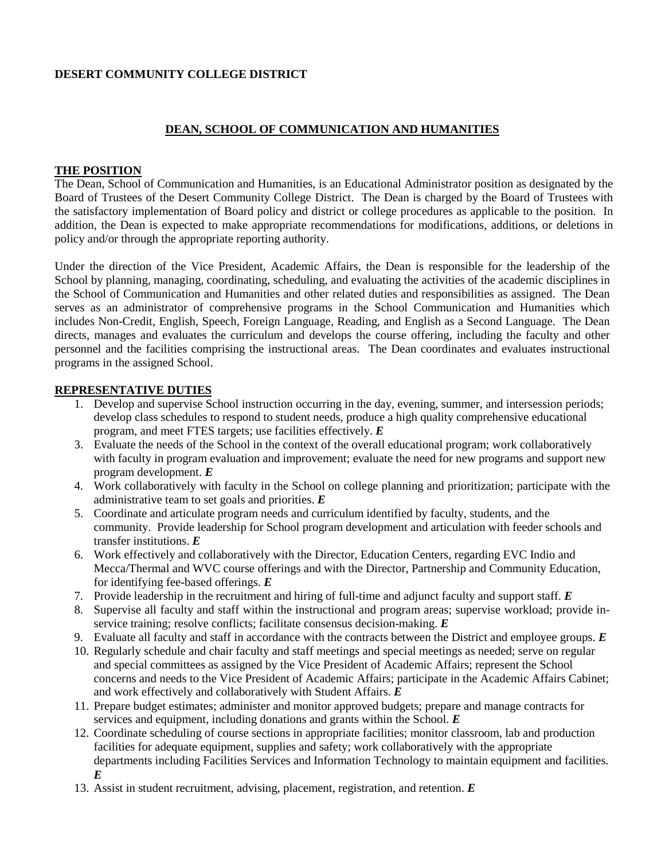## **DESERT COMMUNITY COLLEGE DISTRICT**

### **DEAN, SCHOOL OF COMMUNICATION AND HUMANITIES**

#### **THE POSITION**

The Dean, School of Communication and Humanities, is an Educational Administrator position as designated by the Board of Trustees of the Desert Community College District. The Dean is charged by the Board of Trustees with the satisfactory implementation of Board policy and district or college procedures as applicable to the position. In addition, the Dean is expected to make appropriate recommendations for modifications, additions, or deletions in policy and/or through the appropriate reporting authority.

Under the direction of the Vice President, Academic Affairs, the Dean is responsible for the leadership of the School by planning, managing, coordinating, scheduling, and evaluating the activities of the academic disciplines in the School of Communication and Humanities and other related duties and responsibilities as assigned. The Dean serves as an administrator of comprehensive programs in the School Communication and Humanities which includes Non-Credit, English, Speech, Foreign Language, Reading, and English as a Second Language. The Dean directs, manages and evaluates the curriculum and develops the course offering, including the faculty and other personnel and the facilities comprising the instructional areas. The Dean coordinates and evaluates instructional programs in the assigned School.

#### **REPRESENTATIVE DUTIES**

- 1. Develop and supervise School instruction occurring in the day, evening, summer, and intersession periods; develop class schedules to respond to student needs, produce a high quality comprehensive educational program, and meet FTES targets; use facilities effectively. *E*
- 3. Evaluate the needs of the School in the context of the overall educational program; work collaboratively with faculty in program evaluation and improvement; evaluate the need for new programs and support new program development. *E*
- 4. Work collaboratively with faculty in the School on college planning and prioritization; participate with the administrative team to set goals and priorities. *E*
- 5. Coordinate and articulate program needs and curriculum identified by faculty, students, and the community. Provide leadership for School program development and articulation with feeder schools and transfer institutions. *E*
- 6. Work effectively and collaboratively with the Director, Education Centers, regarding EVC Indio and Mecca/Thermal and WVC course offerings and with the Director, Partnership and Community Education, for identifying fee-based offerings. *E*
- 7. Provide leadership in the recruitment and hiring of full-time and adjunct faculty and support staff. *E*
- 8. Supervise all faculty and staff within the instructional and program areas; supervise workload; provide inservice training; resolve conflicts; facilitate consensus decision-making. *E*
- 9. Evaluate all faculty and staff in accordance with the contracts between the District and employee groups. *E*
- 10. Regularly schedule and chair faculty and staff meetings and special meetings as needed; serve on regular and special committees as assigned by the Vice President of Academic Affairs; represent the School concerns and needs to the Vice President of Academic Affairs; participate in the Academic Affairs Cabinet; and work effectively and collaboratively with Student Affairs. *E*
- 11. Prepare budget estimates; administer and monitor approved budgets; prepare and manage contracts for services and equipment, including donations and grants within the School. *E*
- 12. Coordinate scheduling of course sections in appropriate facilities; monitor classroom, lab and production facilities for adequate equipment, supplies and safety; work collaboratively with the appropriate departments including Facilities Services and Information Technology to maintain equipment and facilities. *E*
- 13. Assist in student recruitment, advising, placement, registration, and retention. *E*